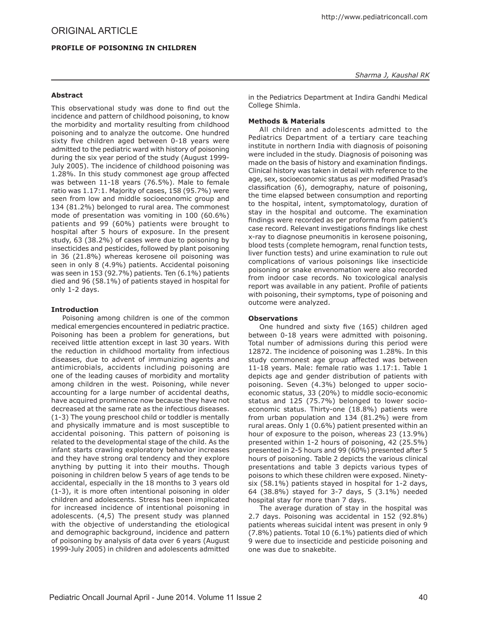# **Profile of Poisoning in Children**

This observational study was done to find out the incidence and pattern of childhood poisoning, to know the morbidity and mortality resulting from childhood poisoning and to analyze the outcome. One hundred sixty five children aged between 0-18 years were admitted to the pediatric ward with history of poisoning during the six year period of the study (August 1999- July 2005). The incidence of childhood poisoning was 1.28%. In this study commonest age group affected was between 11-18 years (76.5%). Male to female ratio was 1.17:1. Majority of cases, 158 (95.7%) were seen from low and middle socioeconomic group and 134 (81.2%) belonged to rural area. The commonest mode of presentation was vomiting in 100 (60.6%) patients and 99 (60%) patients were brought to hospital after 5 hours of exposure. In the present study, 63 (38.2%) of cases were due to poisoning by insecticides and pesticides, followed by plant poisoning in 36 (21.8%) whereas kerosene oil poisoning was seen in only 8 (4.9%) patients. Accidental poisoning was seen in 153 (92.7%) patients. Ten (6.1%) patients died and 96 (58.1%) of patients stayed in hospital for only 1-2 days.

## **Introduction**

Poisoning among children is one of the common medical emergencies encountered in pediatric practice. Poisoning has been a problem for generations, but received little attention except in last 30 years. With the reduction in childhood mortality from infectious diseases, due to advent of immunizing agents and antimicrobials, accidents including poisoning are one of the leading causes of morbidity and mortality among children in the west. Poisoning, while never accounting for a large number of accidental deaths, have acquired prominence now because they have not decreased at the same rate as the infectious diseases. (1-3) The young preschool child or toddler is mentally and physically immature and is most susceptible to accidental poisoning. This pattern of poisoning is related to the developmental stage of the child. As the infant starts crawling exploratory behavior increases and they have strong oral tendency and they explore anything by putting it into their mouths. Though poisoning in children below 5 years of age tends to be accidental, especially in the 18 months to 3 years old (1-3), it is more often intentional poisoning in older children and adolescents. Stress has been implicated for increased incidence of intentional poisoning in adolescents. (4,5) The present study was planned with the objective of understanding the etiological and demographic background, incidence and pattern of poisoning by analysis of data over 6 years (August 1999-July 2005) in children and adolescents admitted

in the Pediatrics Department at Indira Gandhi Medical College Shimla.

### **Methods & Materials**

All children and adolescents admitted to the Pediatrics Department of a tertiary care teaching institute in northern India with diagnosis of poisoning were included in the study. Diagnosis of poisoning was made on the basis of history and examination findings. Clinical history was taken in detail with reference to the age, sex, socioeconomic status as per modified Prasad's classification (6), demography, nature of poisoning, the time elapsed between consumption and reporting to the hospital, intent, symptomatology, duration of stay in the hospital and outcome. The examination findings were recorded as per proforma from patient's case record. Relevant investigations findings like chest x-ray to diagnose pneumonitis in kerosene poisoning, blood tests (complete hemogram, renal function tests, liver function tests) and urine examination to rule out complications of various poisonings like insecticide poisoning or snake envenomation were also recorded from indoor case records. No toxicological analysis report was available in any patient. Profile of patients with poisoning, their symptoms, type of poisoning and outcome were analyzed.

### **Observations**

One hundred and sixty five (165) children aged between 0-18 years were admitted with poisoning. Total number of admissions during this period were 12872. The incidence of poisoning was 1.28%. In this study commonest age group affected was between 11-18 years. Male: female ratio was 1.17:1. Table 1 depicts age and gender distribution of patients with poisoning. Seven (4.3%) belonged to upper socioeconomic status, 33 (20%) to middle socio-economic status and 125 (75.7%) belonged to lower socioeconomic status. Thirty-one (18.8%) patients were from urban population and 134 (81.2%) were from rural areas. Only 1 (0.6%) patient presented within an hour of exposure to the poison, whereas 23 (13.9%) presented within 1-2 hours of poisoning, 42 (25.5%) presented in 2-5 hours and 99 (60%) presented after 5 hours of poisoning. Table 2 depicts the various clinical presentations and table 3 depicts various types of poisons to which these children were exposed. Ninetysix (58.1%) patients stayed in hospital for 1-2 days, 64 (38.8%) stayed for 3-7 days, 5 (3.1%) needed hospital stay for more than 7 days.

The average duration of stay in the hospital was 2.7 days. Poisoning was accidental in 152 (92.8%) patients whereas suicidal intent was present in only 9 (7.8%) patients. Total 10 (6.1%) patients died of which 9 were due to insecticide and pesticide poisoning and one was due to snakebite.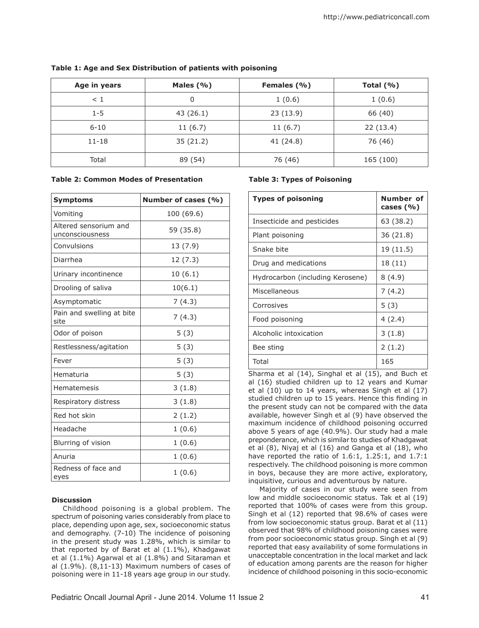| Age in years | Males $(% )$ | Females (%) | Total $(% )$ |
|--------------|--------------|-------------|--------------|
| $\leq 1$     | 0            | 1(0.6)      | 1(0.6)       |
| $1 - 5$      | 43(26.1)     | 23(13.9)    | 66 (40)      |
| $6 - 10$     | 11(6.7)      | 11(6.7)     | 22(13.4)     |
| $11 - 18$    | 35(21.2)     | 41 (24.8)   | 76 (46)      |
| Total        | 89 (54)      | 76 (46)     | 165 (100)    |

# **Table 1: Age and Sex Distribution of patients with poisoning**

#### **Table 2: Common Modes of Presentation**

| <b>Symptoms</b>                          | Number of cases (%) |  |
|------------------------------------------|---------------------|--|
| Vomiting                                 | 100 (69.6)          |  |
| Altered sensorium and<br>unconsciousness | 59 (35.8)           |  |
| Convulsions                              | 13 (7.9)            |  |
| Diarrhea                                 | 12 (7.3)            |  |
| Urinary incontinence                     | 10(6.1)             |  |
| Drooling of saliva                       | 10(6.1)             |  |
| Asymptomatic                             | 7(4.3)              |  |
| Pain and swelling at bite<br>site        | 7(4.3)              |  |
| Odor of poison                           | 5(3)                |  |
| Restlessness/agitation                   | 5(3)                |  |
| Fever                                    | 5(3)                |  |
| Hematuria                                | 5(3)                |  |
| Hematemesis                              | 3(1.8)              |  |
| Respiratory distress                     | 3(1.8)              |  |
| Red hot skin                             | 2(1.2)              |  |
| Headache                                 | 1(0.6)              |  |
| Blurring of vision                       | 1(0.6)              |  |
| Anuria                                   | 1(0.6)              |  |
| Redness of face and<br>eyes              | 1(0.6)              |  |

### **Discussion**

Childhood poisoning is a global problem. The spectrum of poisoning varies considerably from place to place, depending upon age, sex, socioeconomic status and demography. (7-10) The incidence of poisoning in the present study was 1.28%, which is similar to that reported by of Barat et al (1.1%), Khadgawat et al (1.1%) Agarwal et al (1.8%) and Sitaraman et al (1.9%). (8,11-13) Maximum numbers of cases of poisoning were in 11-18 years age group in our study.

### **Table 3: Types of Poisoning**

| <b>Types of poisoning</b>        | Number of<br>cases $(%$ |
|----------------------------------|-------------------------|
| Insecticide and pesticides       | 63 (38.2)               |
| Plant poisoning                  | 36 (21.8)               |
| Snake bite                       | 19 (11.5)               |
| Drug and medications             | 18(11)                  |
| Hydrocarbon (including Kerosene) | 8(4.9)                  |
| Miscellaneous                    | 7(4.2)                  |
| Corrosives                       | 5(3)                    |
| Food poisoning                   | 4(2.4)                  |
| Alcoholic intoxication           | 3(1.8)                  |
| Bee sting                        | 2(1.2)                  |
| Total                            | 165                     |

Sharma et al (14), Singhal et al (15), and Buch et al (16) studied children up to 12 years and Kumar et al (10) up to 14 years, whereas Singh et al (17) studied children up to 15 years. Hence this finding in the present study can not be compared with the data available, however Singh et al (9) have observed the maximum incidence of childhood poisoning occurred above 5 years of age (40.9%). Our study had a male preponderance, which is similar to studies of Khadgawat et al (8), Niyaj et al (16) and Ganga et al (18), who have reported the ratio of 1.6:1, 1.25:1, and 1.7:1 respectively. The childhood poisoning is more common in boys, because they are more active, exploratory, inquisitive, curious and adventurous by nature.

Majority of cases in our study were seen from low and middle socioeconomic status. Tak et al (19) reported that 100% of cases were from this group. Singh et al (12) reported that 98.6% of cases were from low socioeconomic status group. Barat et al (11) observed that 98% of childhood poisoning cases were from poor socioeconomic status group. Singh et al (9) reported that easy availability of some formulations in unacceptable concentration in the local market and lack of education among parents are the reason for higher incidence of childhood poisoning in this socio-economic